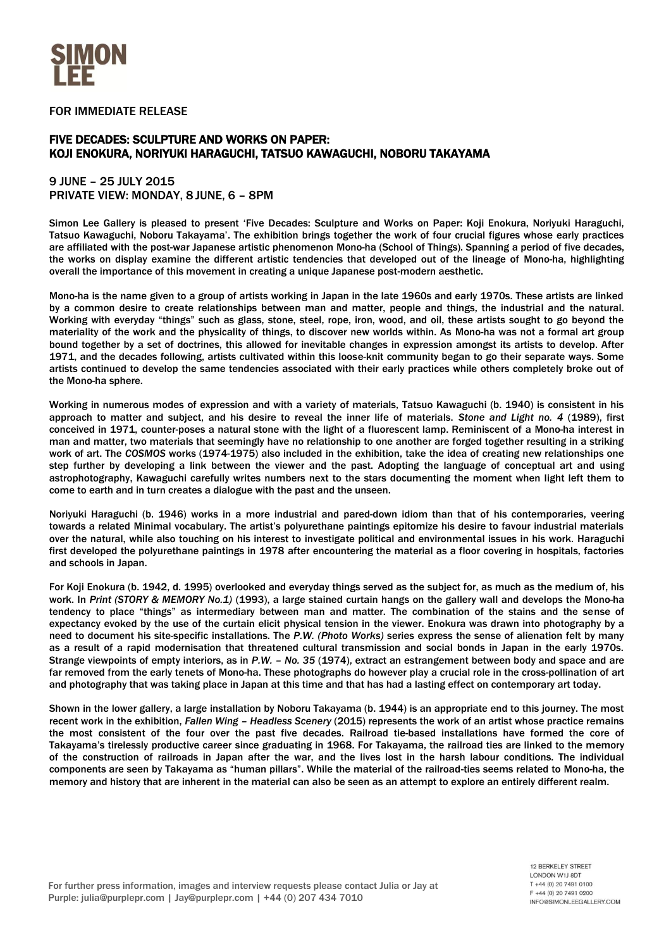

FOR IMMEDIATE RELEASE

## FIVE DECADES: SCULPTURE AND WORKS ON PAPER: KOJI ENOKURA, NORIYUKI HARAGUCHI, TATSUO KAWAGUCHI, NOBORU TAKAYAMA

## 9 JUNE – 25 JULY 2015 PRIVATE VIEW: MONDAY, 8 JUNE, 6 – 8PM

Simon Lee Gallery is pleased to present 'Five Decades: Sculpture and Works on Paper: Koji Enokura, Noriyuki Haraguchi, Tatsuo Kawaguchi, Noboru Takayama'. The exhibition brings together the work of four crucial figures whose early practices are affiliated with the post-war Japanese artistic phenomenon Mono-ha (School of Things). Spanning a period of five decades, the works on display examine the different artistic tendencies that developed out of the lineage of Mono-ha, highlighting overall the importance of this movement in creating a unique Japanese post-modern aesthetic.

Mono-ha is the name given to a group of artists working in Japan in the late 1960s and early 1970s. These artists are linked by a common desire to create relationships between man and matter, people and things, the industrial and the natural. Working with everyday "things" such as glass, stone, steel, rope, iron, wood, and oil, these artists sought to go beyond the materiality of the work and the physicality of things, to discover new worlds within. As Mono-ha was not a formal art group bound together by a set of doctrines, this allowed for inevitable changes in expression amongst its artists to develop. After 1971, and the decades following, artists cultivated within this loose-knit community began to go their separate ways. Some artists continued to develop the same tendencies associated with their early practices while others completely broke out of the Mono-ha sphere.

Working in numerous modes of expression and with a variety of materials, Tatsuo Kawaguchi (b. 1940) is consistent in his approach to matter and subject, and his desire to reveal the inner life of materials. *Stone and Light no. 4* (1989), first conceived in 1971, counter-poses a natural stone with the light of a fluorescent lamp. Reminiscent of a Mono-ha interest in man and matter, two materials that seemingly have no relationship to one another are forged together resulting in a striking work of art. The *COSMOS* works (1974-1975) also included in the exhibition, take the idea of creating new relationships one step further by developing a link between the viewer and the past. Adopting the language of conceptual art and using astrophotography, Kawaguchi carefully writes numbers next to the stars documenting the moment when light left them to come to earth and in turn creates a dialogue with the past and the unseen.

Noriyuki Haraguchi (b. 1946) works in a more industrial and pared-down idiom than that of his contemporaries, veering towards a related Minimal vocabulary. The artist's polyurethane paintings epitomize his desire to favour industrial materials over the natural, while also touching on his interest to investigate political and environmental issues in his work. Haraguchi first developed the polyurethane paintings in 1978 after encountering the material as a floor covering in hospitals, factories and schools in Japan.

For Koji Enokura (b. 1942, d. 1995) overlooked and everyday things served as the subject for, as much as the medium of, his work. In *Print (STORY & MEMORY No.1)* (1993), a large stained curtain hangs on the gallery wall and develops the Mono-ha tendency to place "things" as intermediary between man and matter. The combination of the stains and the sense of expectancy evoked by the use of the curtain elicit physical tension in the viewer. Enokura was drawn into photography by a need to document his site-specific installations. The *P.W. (Photo Works)* series express the sense of alienation felt by many as a result of a rapid modernisation that threatened cultural transmission and social bonds in Japan in the early 1970s. Strange viewpoints of empty interiors, as in *P.W. – No. 35* (1974), extract an estrangement between body and space and are far removed from the early tenets of Mono-ha. These photographs do however play a crucial role in the cross-pollination of art and photography that was taking place in Japan at this time and that has had a lasting effect on contemporary art today.

Shown in the lower gallery, a large installation by Noboru Takayama (b. 1944) is an appropriate end to this journey. The most recent work in the exhibition, *Fallen Wing – Headless Scenery* (2015) represents the work of an artist whose practice remains the most consistent of the four over the past five decades. Railroad tie-based installations have formed the core of Takayama's tirelessly productive career since graduating in 1968. For Takayama, the railroad ties are linked to the memory of the construction of railroads in Japan after the war, and the lives lost in the harsh labour conditions. The individual components are seen by Takayama as "human pillars". While the material of the railroad-ties seems related to Mono-ha, the memory and history that are inherent in the material can also be seen as an attempt to explore an entirely different realm.